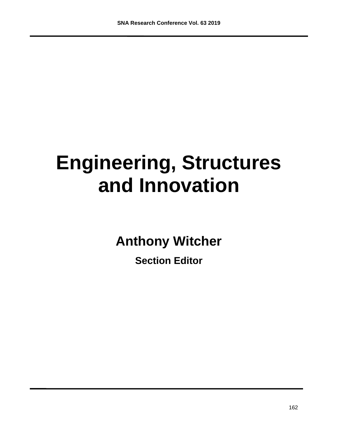# **Engineering, Structures and Innovation**

**Anthony Witcher**

**Section Editor**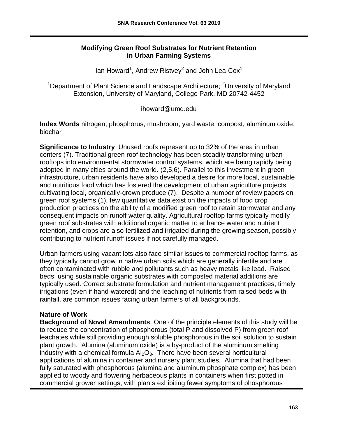#### **Modifying Green Roof Substrates for Nutrient Retention in Urban Farming Systems**

lan Howard<sup>1</sup>, Andrew Ristvey<sup>2</sup> and John Lea-Cox<sup>1</sup>

<sup>1</sup>Department of Plant Science and Landscape Architecture; <sup>2</sup>University of Maryland Extension, University of Maryland, College Park, MD 20742-4452

#### ihoward@umd.edu

**Index Words** nitrogen, phosphorus, mushroom, yard waste, compost, aluminum oxide, biochar

**Significance to Industry** Unused roofs represent up to 32% of the area in urban centers (7). Traditional green roof technology has been steadily transforming urban rooftops into environmental stormwater control systems, which are being rapidly being adopted in many cities around the world. (2,5,6). Parallel to this investment in green infrastructure, urban residents have also developed a desire for more local, sustainable and nutritious food which has fostered the development of urban agriculture projects cultivating local, organically-grown produce (7). Despite a number of review papers on green roof systems (1), few quantitative data exist on the impacts of food crop production practices on the ability of a modified green roof to retain stormwater and any consequent impacts on runoff water quality. Agricultural rooftop farms typically modify green roof substrates with additional organic matter to enhance water and nutrient retention, and crops are also fertilized and irrigated during the growing season, possibly contributing to nutrient runoff issues if not carefully managed.

Urban farmers using vacant lots also face similar issues to commercial rooftop farms, as they typically cannot grow in native urban soils which are generally infertile and are often contaminated with rubble and pollutants such as heavy metals like lead. Raised beds, using sustainable organic substrates with composted material additions are typically used. Correct substrate formulation and nutrient management practices, timely irrigations (even if hand-watered) and the leaching of nutrients from raised beds with rainfall, are common issues facing urban farmers of all backgrounds.

#### **Nature of Work**

**Background of Novel Amendments** One of the principle elements of this study will be to reduce the concentration of phosphorous (total P and dissolved P) from green roof leachates while still providing enough soluble phosphorous in the soil solution to sustain plant growth. Alumina (aluminum oxide) is a by-product of the aluminum smelting industry with a chemical formula  $Al_2O_3$ . There have been several horticultural applications of alumina in container and nursery plant studies. Alumina that had been fully saturated with phosphorous (alumina and aluminum phosphate complex) has been applied to woody and flowering herbaceous plants in containers when first potted in commercial grower settings, with plants exhibiting fewer symptoms of phosphorous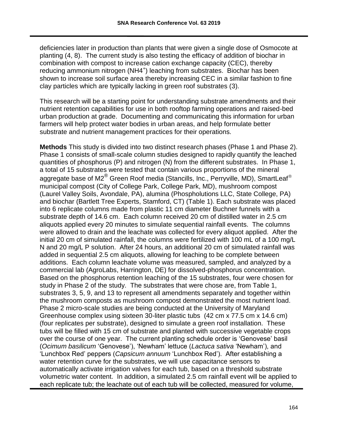deficiencies later in production than plants that were given a single dose of Osmocote at planting (4, 8). The current study is also testing the efficacy of addition of biochar in combination with compost to increase cation exchange capacity (CEC), thereby reducing ammonium nitrogen (NH4<sup>+</sup>) leaching from substrates. Biochar has been shown to increase soil surface area thereby increasing CEC in a similar fashion to fine clay particles which are typically lacking in green roof substrates (3).

This research will be a starting point for understanding substrate amendments and their nutrient retention capabilities for use in both rooftop farming operations and raised-bed urban production at grade. Documenting and communicating this information for urban farmers will help protect water bodies in urban areas, and help formulate better substrate and nutrient management practices for their operations.

**Methods** This study is divided into two distinct research phases (Phase 1 and Phase 2). Phase 1 consists of small-scale column studies designed to rapidly quantify the leached quantities of phosphorus (P) and nitrogen (N) from the different substrates. In Phase 1, a total of 15 substrates were tested that contain various proportions of the mineral aggregate base of M2 $^{\circ}$  Green Roof media (Stancills, Inc., Perryville, MD), SmartLeaf $^{\circ}$ municipal compost (City of College Park, College Park, MD), mushroom compost (Laurel Valley Soils, Avondale, PA), alumina (Phospholutions LLC, State College, PA) and biochar (Bartlett Tree Experts, Stamford, CT) (Table 1). Each substrate was placed into 6 replicate columns made from plastic 11 cm diameter Buchner funnels with a substrate depth of 14.6 cm. Each column received 20 cm of distilled water in 2.5 cm aliquots applied every 20 minutes to simulate sequential rainfall events. The columns were allowed to drain and the leachate was collected for every aliquot applied. After the initial 20 cm of simulated rainfall, the columns were fertilized with 100 mL of a 100 mg/L N and 20 mg/L P solution. After 24 hours, an additional 20 cm of simulated rainfall was added in sequential 2.5 cm aliquots, allowing for leaching to be complete between additions. Each column leachate volume was measured, sampled, and analyzed by a commercial lab (AgroLabs, Harrington, DE) for dissolved-phosphorus concentration. Based on the phosphorus retention leaching of the 15 substrates, four were chosen for study in Phase 2 of the study. The substrates that were chose are, from Table 1, substrates 3, 5, 9, and 13 to represent all amendments separately and together within the mushroom composts as mushroom compost demonstrated the most nutrient load. Phase 2 micro-scale studies are being conducted at the University of Maryland Greenhouse complex using sixteen 30-liter plastic tubs (42 cm x 77.5 cm x 14.6 cm) (four replicates per substrate), designed to simulate a green roof installation. These tubs will be filled with 15 cm of substrate and planted with successive vegetable crops over the course of one year. The current planting schedule order is 'Genovese' basil (*Ocimum basilicum* 'Genovese'), 'Newham' lettuce (*Lactuca sativa* 'Newham'), and 'Lunchbox Red' peppers (*Capsicum annuum* 'Lunchbox Red'). After establishing a water retention curve for the substrates, we will use capacitance sensors to automatically activate irrigation valves for each tub, based on a threshold substrate volumetric water content. In addition, a simulated 2.5 cm rainfall event will be applied to each replicate tub; the leachate out of each tub will be collected, measured for volume,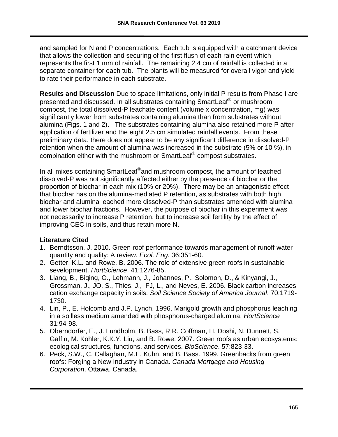and sampled for N and P concentrations. Each tub is equipped with a catchment device that allows the collection and securing of the first flush of each rain event which represents the first 1 mm of rainfall. The remaining 2.4 cm of rainfall is collected in a separate container for each tub. The plants will be measured for overall vigor and yield to rate their performance in each substrate.

**Results and Discussion** Due to space limitations, only initial P results from Phase I are presented and discussed. In all substrates containing SmartLeaf® or mushroom compost, the total dissolved-P leachate content (volume x concentration, mg) was significantly lower from substrates containing alumina than from substrates without alumina (Figs. 1 and 2). The substrates containing alumina also retained more P after application of fertilizer and the eight 2.5 cm simulated rainfall events. From these preliminary data, there does not appear to be any significant difference in dissolved-P retention when the amount of alumina was increased in the substrate (5% or 10 %), in combination either with the mushroom or SmartLeaf<sup>®</sup> compost substrates.

In all mixes containing SmartLeaf®and mushroom compost, the amount of leached dissolved-P was not significantly affected either by the presence of biochar or the proportion of biochar in each mix (10% or 20%). There may be an antagonistic effect that biochar has on the alumina-mediated P retention, as substrates with both high biochar and alumina leached more dissolved-P than substrates amended with alumina and lower biochar fractions. However, the purpose of biochar in this experiment was not necessarily to increase P retention, but to increase soil fertility by the effect of improving CEC in soils, and thus retain more N.

#### **Literature Cited**

- 1. Berndtsson, J. 2010. Green roof performance towards management of runoff water quantity and quality: A review. *Ecol. Eng.* 36:351-60.
- 2. Getter, K.L. and Rowe, B. 2006. The role of extensive green roofs in sustainable sevelopment. *HortScience*. 41:1276-85.
- 3. Liang, B., Biqing, O., Lehmann, J., Johannes, P., Solomon, D., & Kinyangi, J., Grossman, J., JO, S., Thies, J., FJ, L., and Neves, E. 2006. Black carbon increases cation exchange capacity in soils. *Soil Science Society of America Journal*. 70:1719- 1730.
- 4. Lin, P., E. Holcomb and J.P. Lynch. 1996. Marigold growth and phosphorus leaching in a soilless medium amended with phosphorus-charged alumina. *HortScience* 31:94-98.
- 5. Oberndorfer, E., J. Lundholm, B. Bass, R.R. Coffman, H. Doshi, N. Dunnett, S. Gaffin, M. Kohler, K.K.Y. Liu, and B. Rowe. 2007. Green roofs as urban ecosystems: ecological structures, functions, and services. *BioScience*. 57:823-33.
- 6. Peck, S.W., C. Callaghan, M.E. Kuhn, and B. Bass. 1999. Greenbacks from green roofs: Forging a New Industry in Canada. *Canada Mortgage and Housing Corporation*. Ottawa, Canada.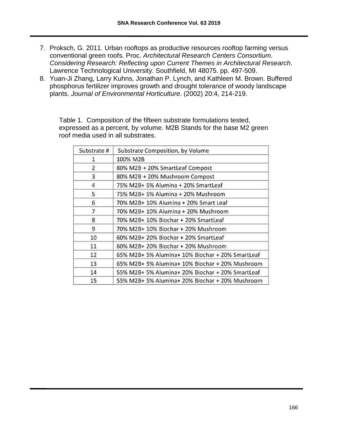- 7. Proksch, G. 2011. Urban rooftops as productive resources rooftop farming versus conventional green roofs. Proc. *Architectural Research Centers Consortium*. *Considering Research: Reflecting upon Current Themes in Architectural Research*. Lawrence Technological University. Southfield, MI 48075. pp. 497-509.
- 8. Yuan-Ji Zhang, Larry Kuhns, Jonathan P. Lynch, and Kathleen M. Brown. Buffered phosphorus fertilizer improves growth and drought tolerance of woody landscape plants. *Journal of Environmental Horticulture*. (2002) 20:4, 214-219.

Table 1. Composition of the fifteen substrate formulations tested, expressed as a percent, by volume. M2B Stands for the base M2 green roof media used in all substrates.

| Substrate #  | Substrate Composition, by Volume                 |
|--------------|--------------------------------------------------|
| 1            | 100% M2B                                         |
| $\mathbf{z}$ | 80% M2B + 20% SmartLeaf Compost                  |
| 3            | 80% M2B + 20% Mushroom Compost                   |
| 4            | 75% M2B+ 5% Alumina + 20% SmartLeaf              |
| 5            | 75% M2B+ 5% Alumina + 20% Mushroom               |
| 6            | 70% M2B+ 10% Alumina + 20% Smart Leaf            |
| 7            | 70% M2B+ 10% Alumina + 20% Mushroom              |
| 8            | 70% M2B+ 10% Biochar + 20% SmartLeaf             |
| 9            | 70% M2B+ 10% Biochar + 20% Mushroom              |
| 10           | 60% M2B+ 20% Biochar + 20% SmartLeaf             |
| 11           | 60% M2B+ 20% Biochar + 20% Mushroom              |
| 12           | 65% M2B+ 5% Alumina+ 10% Biochar + 20% SmartLeaf |
| 13           | 65% M2B+ 5% Alumina+ 10% Biochar + 20% Mushroom  |
| 14           | 55% M2B+ 5% Alumina+ 20% Biochar + 20% SmartLeaf |
| 15           | 55% M2B+ 5% Alumina+ 20% Biochar + 20% Mushroom  |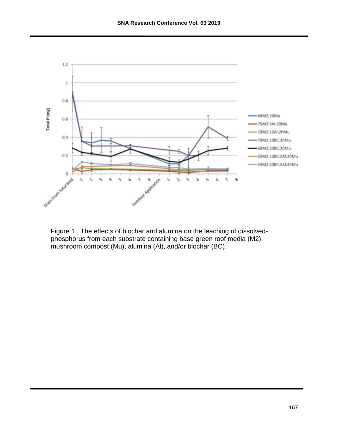

Figure 1. The effects of biochar and alumina on the leaching of dissolvedphosphorus from each substrate containing base green roof media (M2), mushroom compost (Mu), alumina (Al), and/or biochar (BC).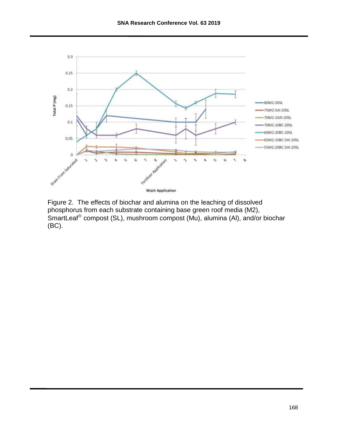

Figure 2. The effects of biochar and alumina on the leaching of dissolved phosphorus from each substrate containing base green roof media (M2), SmartLeaf<sup>®</sup> compost (SL), mushroom compost (Mu), alumina (Al), and/or biochar (BC).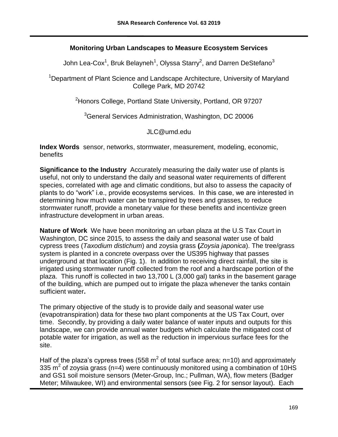### **Monitoring Urban Landscapes to Measure Ecosystem Services**

John Lea-Cox<sup>1</sup>, Bruk Belayneh<sup>1</sup>, Olyssa Starry<sup>2</sup>, and Darren DeStefano<sup>3</sup>

<sup>1</sup>Department of Plant Science and Landscape Architecture, University of Maryland College Park, MD 20742

<sup>2</sup> Honors College, Portland State University, Portland, OR 97207

<sup>3</sup>General Services Administration, Washington, DC 20006

JLC@umd.edu

**Index Words** sensor, networks, stormwater, measurement, modeling, economic, benefits

**Significance to the Industry** Accurately measuring the daily water use of plants is useful, not only to understand the daily and seasonal water requirements of different species, correlated with age and climatic conditions, but also to assess the capacity of plants to do "work" i.e., provide ecosystems services. In this case, we are interested in determining how much water can be transpired by trees and grasses, to reduce stormwater runoff, provide a monetary value for these benefits and incentivize green infrastructure development in urban areas.

**Nature of Work** We have been monitoring an urban plaza at the U.S Tax Court in Washington, DC since 2015, to assess the daily and seasonal water use of bald cypress trees (*Taxodium distichum*) and zoysia grass **(***Zoysia japonica*). The tree/grass system is planted in a concrete overpass over the US395 highway that passes underground at that location (Fig. 1). In addition to receiving direct rainfall, the site is irrigated using stormwater runoff collected from the roof and a hardscape portion of the plaza. This runoff is collected in two 13,700 L (3,000 gal) tanks in the basement garage of the building, which are pumped out to irrigate the plaza whenever the tanks contain sufficient water**.** 

The primary objective of the study is to provide daily and seasonal water use (evapotranspiration) data for these two plant components at the US Tax Court, over time. Secondly, by providing a daily water balance of water inputs and outputs for this landscape, we can provide annual water budgets which calculate the mitigated cost of potable water for irrigation, as well as the reduction in impervious surface fees for the site.

Half of the plaza's cypress trees (558  $m^2$  of total surface area; n=10) and approximately 335 m<sup>2</sup> of zoysia grass (n=4) were continuously monitored using a combination of 10HS and GS1 soil moisture sensors (Meter-Group, Inc.; Pullman, WA), flow meters (Badger Meter; Milwaukee, WI) and environmental sensors (see Fig. 2 for sensor layout). Each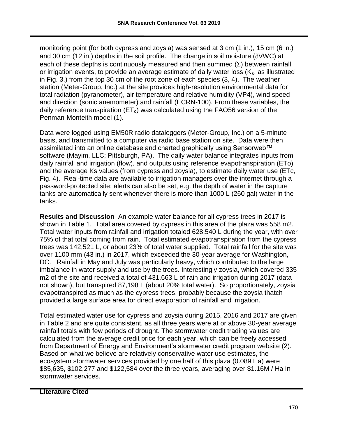monitoring point (for both cypress and zoysia) was sensed at 3 cm (1 in.), 15 cm (6 in.) and 30 cm (12 in.) depths in the soil profile. The change in soil moisture ( $\delta$ VWC) at each of these depths is continuously measured and then summed  $(\Sigma)$  between rainfall or irrigation events, to provide an average estimate of daily water loss  $(K_s, s)$  as illustrated in Fig. 3.) from the top 30 cm of the root zone of each species (3, 4). The weather station (Meter-Group, Inc.) at the site provides high-resolution environmental data for total radiation (pyranometer), air temperature and relative humidity (VP4), wind speed and direction (sonic anemometer) and rainfall (ECRN-100). From these variables, the daily reference transpiration ( $ET<sub>o</sub>$ ) was calculated using the FAO56 version of the Penman-Monteith model (1).

Data were logged using EM50R radio dataloggers (Meter-Group, Inc.) on a 5-minute basis, and transmitted to a computer via radio base station on site. Data were then assimilated into an online database and charted graphically using Sensorweb™ software (Mayim, LLC; Pittsburgh, PA). The daily water balance integrates inputs from daily rainfall and irrigation (flow), and outputs using reference evapotranspiration (ETo) and the average Ks values (from cypress and zoysia), to estimate daily water use (ETc, Fig. 4). Real-time data are available to irrigation managers over the internet through a password-protected site; alerts can also be set, e.g. the depth of water in the capture tanks are automatically sent whenever there is more than 1000 L (260 gal) water in the tanks.

**Results and Discussion** An example water balance for all cypress trees in 2017 is shown in Table 1. Total area covered by cypress in this area of the plaza was 558 m2. Total water inputs from rainfall and irrigation totaled 628,540 L during the year, with over 75% of that total coming from rain. Total estimated evapotranspiration from the cypress trees was 142,521 L, or about 23% of total water supplied. Total rainfall for the site was over 1100 mm (43 in.) in 2017, which exceeded the 30-year average for Washington, DC. Rainfall in May and July was particularly heavy, which contributed to the large imbalance in water supply and use by the trees. Interestingly zoysia, which covered 335 m2 of the site and received a total of 431,663 L of rain and irrigation during 2017 (data not shown), but transpired 87,198 L (about 20% total water). So proportionately, zoysia evapotranspired as much as the cypress trees, probably because the zoysia thatch provided a large surface area for direct evaporation of rainfall and irrigation.

Total estimated water use for cypress and zoysia during 2015, 2016 and 2017 are given in Table 2 and are quite consistent, as all three years were at or above 30-year average rainfall totals with few periods of drought. The stormwater credit trading values are calculated from the average credit price for each year, which can be freely accessed from Department of Energy and Environment's stormwater credit program website (2). Based on what we believe are relatively conservative water use estimates, the ecosystem stormwater services provided by one half of this plaza (0.089 Ha) were \$85,635, \$102,277 and \$122,584 over the three years, averaging over \$1.16M / Ha in stormwater services.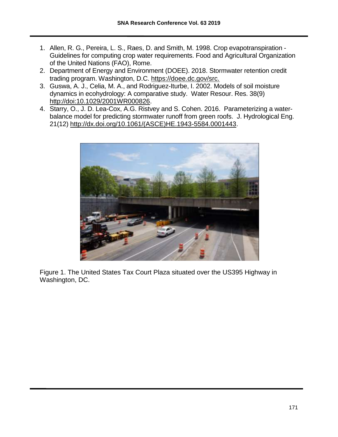- 1. Allen, R. G., Pereira, L. S., Raes, D. and Smith, M. 1998. Crop evapotranspiration Guidelines for computing crop water requirements. Food and Agricultural Organization of the United Nations (FAO), Rome.
- 2. Department of Energy and Environment (DOEE). 2018. Stormwater retention credit trading program. Washington, D.C. https://doee.dc.gov/src.
- 3. Guswa, A. J., Celia, M. A., and Rodriguez-Iturbe, I. 2002. Models of soil moisture dynamics in ecohydrology: A comparative study. Water Resour. Res. 38(9) [http://doi:10.1029/2001WR000826.](http://doi:10.1029/2001WR000826)
- 4. Starry, O., J. D. Lea-Cox, A.G. Ristvey and S. Cohen. 2016. Parameterizing a waterbalance model for predicting stormwater runoff from green roofs. J. Hydrological Eng. 21(12) [http://dx.doi.org/10.1061/\(ASCE\)HE.1943-5584.0001443.](http://dx.doi.org/10.1061/(ASCE)HE.1943-5584.0001443)



Figure 1. The United States Tax Court Plaza situated over the US395 Highway in Washington, DC.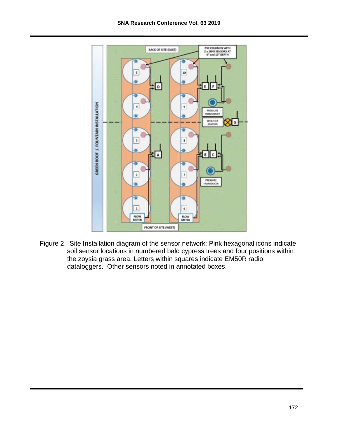

Figure 2. Site Installation diagram of the sensor network: Pink hexagonal icons indicate soil sensor locations in numbered bald cypress trees and four positions within the zoysia grass area. Letters within squares indicate EM50R radio dataloggers. Other sensors noted in annotated boxes.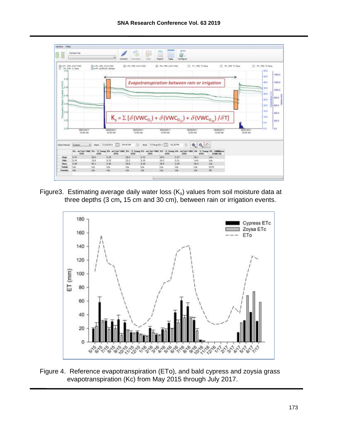

Figure3. Estimating average daily water loss  $(K_s)$  values from soil moisture data at three depths (3 cm**,** 15 cm and 30 cm), between rain or irrigation events.



Figure 4. Reference evapotranspiration (ETo), and bald cypress and zoysia grass evapotranspiration (Kc) from May 2015 through July 2017.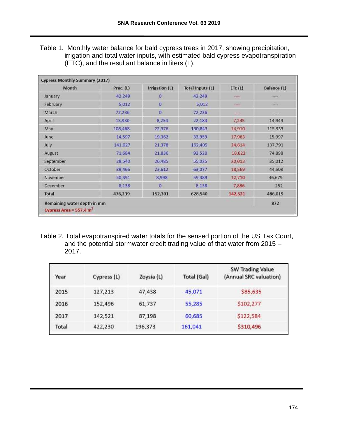Table 1. Monthly water balance for bald cypress trees in 2017, showing precipitation, irrigation and total water inputs, with estimated bald cypress evapotranspiration (ETC), and the resultant balance in liters (L).

| Month                       | Prec. (L) | Irrigation (L) | <b>Total Inputs (L)</b> | ETC(L)       | Balance (L) |
|-----------------------------|-----------|----------------|-------------------------|--------------|-------------|
| January                     | 42,249    | 0              | 42,249                  | $+ + - +$    | -           |
| February                    | 5.012     | $\circ$        | 5.012                   | <b>BRIDE</b> | 4944        |
| March                       | 72,236    | $\overline{0}$ | 72,236                  | $\sim$       | ----        |
| April                       | 13,930    | 8.254          | 22,184                  | 7,235        | 14,949      |
| May                         | 108,468   | 22,376         | 130,843                 | 14,910       | 115,933     |
| June                        | 14,597    | 19,362         | 33,959                  | 17,963       | 15,997      |
| July                        | 141,027   | 21,378         | 162,405                 | 24,614       | 137,791     |
| August                      | 71,684    | 21,836         | 93,520                  | 18,622       | 74,898      |
| September                   | 28,540    | 26,485         | 55,025                  | 20,013       | 35,012      |
| October                     | 39,465    | 23,612         | 63,077                  | 18,569       | 44,508      |
| November                    | 50,391    | 8,998          | 59,389                  | 12,710       | 46,679      |
| December                    | 8,138     | o              | 8,138                   | 7,886        | 252         |
| Total                       | 476,239   | 152,301        | 628,540                 | 142,521      | 486,019     |
| Remaining water depth in mm |           |                |                         |              | 872         |

Table 2. Total evapotranspired water totals for the sensed portion of the US Tax Court, and the potential stormwater credit trading value of that water from 2015 – 2017.

| Year  | Cypress (L) | Zoysia (L) | Total (Gal) | <b>SW Trading Value</b><br>(Annual SRC valuation) |
|-------|-------------|------------|-------------|---------------------------------------------------|
| 2015  | 127,213     | 47,438     | 45,071      | \$85,635                                          |
| 2016  | 152,496     | 61,737     | 55,285      | \$102,277                                         |
| 2017  | 142,521     | 87,198     | 60,685      | \$122,584                                         |
| Total | 422,230     | 196,373    | 161,041     | \$310,496                                         |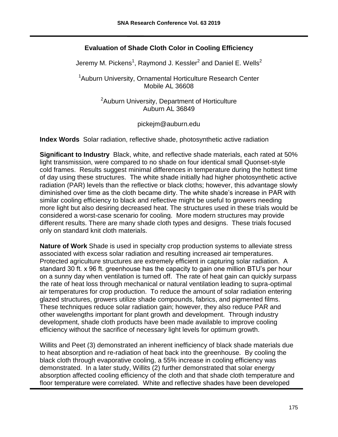## **Evaluation of Shade Cloth Color in Cooling Efficiency**

Jeremy M. Pickens<sup>1</sup>, Raymond J. Kessler<sup>2</sup> and Daniel E. Wells<sup>2</sup>

<sup>1</sup>Auburn University, Ornamental Horticulture Research Center Mobile AL 36608

> <sup>2</sup> Auburn University, Department of Horticulture Auburn AL 36849

> > pickejm@auburn.edu

**Index Words** Solar radiation, reflective shade, photosynthetic active radiation

**Significant to Industry** Black, white, and reflective shade materials, each rated at 50% light transmission, were compared to no shade on four identical small Quonset-style cold frames. Results suggest minimal differences in temperature during the hottest time of day using these structures. The white shade initially had higher photosynthetic active radiation (PAR) levels than the reflective or black cloths; however, this advantage slowly diminished over time as the cloth became dirty. The white shade's increase in PAR with similar cooling efficiency to black and reflective might be useful to growers needing more light but also desiring decreased heat. The structures used in these trials would be considered a worst-case scenario for cooling. More modern structures may provide different results. There are many shade cloth types and designs. These trials focused only on standard knit cloth materials.

**Nature of Work** Shade is used in specialty crop production systems to alleviate stress associated with excess solar radiation and resulting increased air temperatures. Protected agriculture structures are extremely efficient in capturing solar radiation. A standard 30 ft. x 96 ft. greenhouse has the capacity to gain one million BTU's per hour on a sunny day when ventilation is turned off. The rate of heat gain can quickly surpass the rate of heat loss through mechanical or natural ventilation leading to supra-optimal air temperatures for crop production. To reduce the amount of solar radiation entering glazed structures, growers utilize shade compounds, fabrics, and pigmented films. These techniques reduce solar radiation gain; however, they also reduce PAR and other wavelengths important for plant growth and development. Through industry development, shade cloth products have been made available to improve cooling efficiency without the sacrifice of necessary light levels for optimum growth.

Willits and Peet (3) demonstrated an inherent inefficiency of black shade materials due to heat absorption and re-radiation of heat back into the greenhouse. By cooling the black cloth through evaporative cooling, a 55% increase in cooling efficiency was demonstrated. In a later study, Willits (2) further demonstrated that solar energy absorption affected cooling efficiency of the cloth and that shade cloth temperature and floor temperature were correlated. White and reflective shades have been developed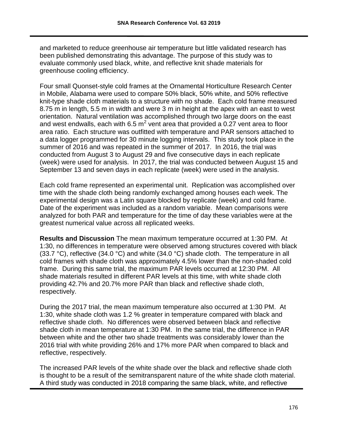and marketed to reduce greenhouse air temperature but little validated research has been published demonstrating this advantage. The purpose of this study was to evaluate commonly used black, white, and reflective knit shade materials for greenhouse cooling efficiency.

Four small Quonset-style cold frames at the Ornamental Horticulture Research Center in Mobile, Alabama were used to compare 50% black, 50% white, and 50% reflective knit-type shade cloth materials to a structure with no shade. Each cold frame measured 8.75 m in length, 5.5 m in width and were 3 m in height at the apex with an east to west orientation. Natural ventilation was accomplished through two large doors on the east and west endwalls, each with 6.5  $m^2$  vent area that provided a 0.27 vent area to floor area ratio. Each structure was outfitted with temperature and PAR sensors attached to a data logger programmed for 30 minute logging intervals. This study took place in the summer of 2016 and was repeated in the summer of 2017. In 2016, the trial was conducted from August 3 to August 29 and five consecutive days in each replicate (week) were used for analysis. In 2017, the trial was conducted between August 15 and September 13 and seven days in each replicate (week) were used in the analysis.

Each cold frame represented an experimental unit. Replication was accomplished over time with the shade cloth being randomly exchanged among houses each week. The experimental design was a Latin square blocked by replicate (week) and cold frame. Date of the experiment was included as a random variable. Mean comparisons were analyzed for both PAR and temperature for the time of day these variables were at the greatest numerical value across all replicated weeks.

**Results and Discussion** The mean maximum temperature occurred at 1:30 PM. At 1:30, no differences in temperature were observed among structures covered with black (33.7 °C), reflective (34.0 °C) and white (34.0 °C) shade cloth. The temperature in all cold frames with shade cloth was approximately 4.5% lower than the non-shaded cold frame. During this same trial, the maximum PAR levels occurred at 12:30 PM. All shade materials resulted in different PAR levels at this time, with white shade cloth providing 42.7% and 20.7% more PAR than black and reflective shade cloth, respectively.

During the 2017 trial, the mean maximum temperature also occurred at 1:30 PM. At 1:30, white shade cloth was 1.2 % greater in temperature compared with black and reflective shade cloth. No differences were observed between black and reflective shade cloth in mean temperature at 1:30 PM. In the same trial, the difference in PAR between white and the other two shade treatments was considerably lower than the 2016 trial with white providing 26% and 17% more PAR when compared to black and reflective, respectively.

The increased PAR levels of the white shade over the black and reflective shade cloth is thought to be a result of the semitransparent nature of the white shade cloth material. A third study was conducted in 2018 comparing the same black, white, and reflective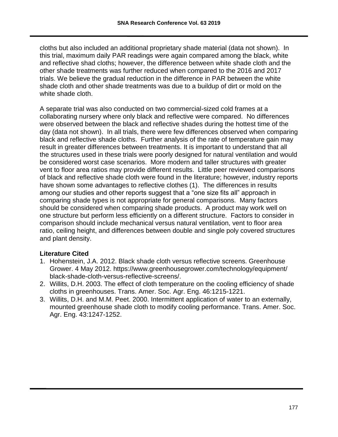cloths but also included an additional proprietary shade material (data not shown). In this trial, maximum daily PAR readings were again compared among the black, white and reflective shad cloths; however, the difference between white shade cloth and the other shade treatments was further reduced when compared to the 2016 and 2017 trials. We believe the gradual reduction in the difference in PAR between the white shade cloth and other shade treatments was due to a buildup of dirt or mold on the white shade cloth.

A separate trial was also conducted on two commercial-sized cold frames at a collaborating nursery where only black and reflective were compared. No differences were observed between the black and reflective shades during the hottest time of the day (data not shown). In all trials, there were few differences observed when comparing black and reflective shade cloths. Further analysis of the rate of temperature gain may result in greater differences between treatments. It is important to understand that all the structures used in these trials were poorly designed for natural ventilation and would be considered worst case scenarios. More modern and taller structures with greater vent to floor area ratios may provide different results. Little peer reviewed comparisons of black and reflective shade cloth were found in the literature; however, industry reports have shown some advantages to reflective clothes (1). The differences in results among our studies and other reports suggest that a "one size fits all" approach in comparing shade types is not appropriate for general comparisons. Many factors should be considered when comparing shade products. A product may work well on one structure but perform less efficiently on a different structure. Factors to consider in comparison should include mechanical versus natural ventilation, vent to floor area ratio, ceiling height, and differences between double and single poly covered structures and plant density.

#### **Literature Cited**

- 1. Hohenstein, J.A. 2012. Black shade cloth versus reflective screens. Greenhouse Grower. 4 May 2012. https://www.greenhousegrower.com/technology/equipment/ black-shade-cloth-versus-reflective-screens/.
- 2. Willits, D.H. 2003. The effect of cloth temperature on the cooling efficiency of shade cloths in greenhouses. Trans. Amer. Soc. Agr. Eng. 46:1215-1221.
- 3. Willits, D.H. and M.M. Peet. 2000. Intermittent application of water to an externally, mounted greenhouse shade cloth to modify cooling performance. Trans. Amer. Soc. Agr. Eng. 43:1247-1252.